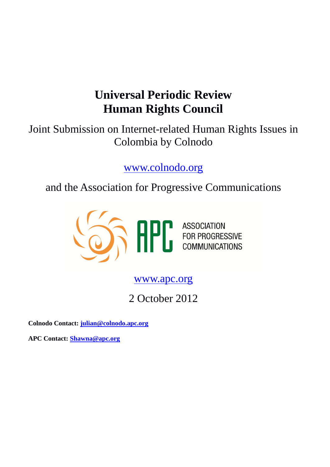# **Universal Periodic Review Human Rights Council**

Joint Submission on Internet-related Human Rights Issues in Colombia by Colnodo

[www.colnodo.org](http://www.colnodo.org/)

and the Association for Progressive Communications



[www.apc.org](http://www.apc.org/)

2 October 2012

**Colnodo Contact: [julian@colnodo.apc.org](mailto:julian@colnodo.apc.org)**

**APC Contact: [Shawna@apc.org](mailto:Shawna@apc.org)**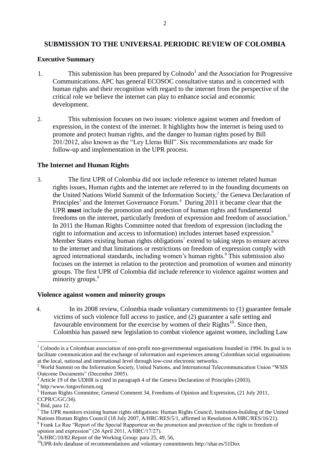## **SUBMISSION TO THE UNIVERSAL PERIODIC REVIEW OF COLOMBIA**

#### **Executive Summary**

- 1. This submission has been prepared by  $\text{Colnodo}^1$  and the Association for Progressive Communications. APC has general ECOSOC consultative status and is concerned with human rights and their recognition with regard to the internet from the perspective of the critical role we believe the internet can play to enhance social and economic development.
- 2. This submission focuses on two issues: violence against women and freedom of expression, in the context of the internet. It highlights how the internet is being used to promote and protect human rights, and the danger to human rights posed by Bill 201/2012, also known as the "Ley Lleras Bill". Six recommendations are made for follow-up and implementation in the UPR process.

#### **The Internet and Human Rights**

3. The first UPR of Colombia did not include reference to internet related human rights issues, Human rights and the internet are referred to in the founding documents on the United Nations World Summit of the Information Society,<sup>2</sup> the Geneva Declaration of Principles<sup>3</sup> and the Internet Governance Forum.<sup>4</sup> During 2011 it became clear that the UPR **must** include the promotion and protection of human rights and fundamental freedoms on the internet, particularly freedom of expression and freedom of association.<sup>5</sup> In 2011 the Human Rights Committee noted that freedom of expression (including the right to information and access to information) includes internet based expression.<sup>6</sup> Member States existing human rights obligations<sup>7</sup> extend to taking steps to ensure access to the internet and that limitations or restrictions on freedom of expression comply with agreed international standards, including women's human rights.<sup>8</sup> This submission also focuses on the internet in relation to the protection and promotion of women and minority groups. The first UPR of Colombia did include reference to violence against women and minority groups.<sup>9</sup>

#### **Violence against women and minority groups**

4. In its 2008 review, Colombia made voluntary commitments to (1) guarantee female victims of such violence full access to justice, and (2) guarantee a safe setting and favourable environment for the exercise by women of their  $RightS<sup>10</sup>$ . Since then, Colombia has passed new legislation to combat violence against women, including Law

1

opinion and expression" (26 April 2011, A/HRC/17/27).

 $1$  Colnodo is a Colombian association of non-profit non-governmental organisations founded in 1994. Its goal is to facilitate communication and the exchange of information and experiences among Colombian social organisations at the local, national and international level through low-cost electronic networks.

<sup>&</sup>lt;sup>2</sup> World Summit on the Information Society, United Nations, and International Telecommunication Union "WSIS Outcome Documents" (December 2005).

<sup>3</sup> Article 19 of the UDHR is cited in paragraph 4 of the Geneva Declaration of Principles (2003).

<sup>4</sup> http:/www./intgovforum.org

 $<sup>5</sup>$  Human Rights Committee, General Comment 34, Freedoms of Opinion and Expression, (21 July 2011,</sup> CCPR/C/GC/34).

<sup>6</sup> Ibid, para 12.

 $7$  The UPR monitors existing human rights obligations: Human Rights Council, Institution-building of the United Nations Human Rights Council (18 July 2007, A/HRC/RES/5/1, affirmed in Resolution A/HRC/RES/16/21). <sup>8</sup> Frank La Rue "Report of the Special Rapporteur on the promotion and protection of the right to freedom of

 $9^9$ A/HRC/10/82 Report of the Working Group: para 25, 49, 56,

<sup>10</sup>UPR-Info database of recommendations and voluntary commitments<http://shar.es/51Dox>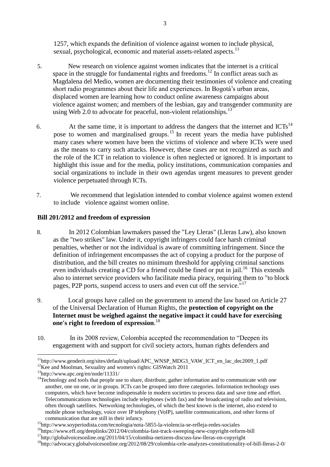1257, which expands the definition of violence against women to include physical, sexual, psychological, economic and material assets-related aspects.<sup>11</sup>

- 5. New research on violence against women indicates that the internet is a critical space in the struggle for fundamental rights and freedoms.<sup>12</sup> In conflict areas such as Magdalena del Medio, women are documenting their testimonies of violence and creating short radio programmes about their life and experiences. In Bogotá's urban areas, displaced women are learning how to conduct online awareness campaigns about violence against women; and members of the lesbian, gay and transgender community are using Web 2.0 to advocate for peaceful, non-violent relationships. $^{13}$
- 6. At the same time, it is important to address the dangers that the internet and ICTs<sup>14</sup> pose to women and marginalised groups.<sup>15</sup> In recent years the media have published many cases where women have been the victims of violence and where ICTs were used as the means to carry such attacks. However, these cases are not recognized as such and the role of the ICT in relation to violence is often neglected or ignored. It is important to highlight this issue and for the media, policy institutions, communication companies and social organizations to include in their own agendas urgent measures to prevent gender violence perpetuated through ICTs.
- 7. We recommend that legislation intended to combat violence against women extend to include violence against women online.

### **Bill 201/2012 and freedom of expression**

- 8. In 2012 Colombian lawmakers passed the "Ley Lleras" (Lleras Law), also known as the "two strikes" law. Under it, copyright infringers could face harsh criminal penalties, whether or not the individual is aware of committing infringement. Since the definition of infringement encompasses the act of copying a product for the purpose of distribution, and the bill creates no minimum threshold for applying criminal sanctions even individuals creating a CD for a friend could be fined or put in jail.<sup>16</sup> This extends also to internet service providers who facilitate media piracy, requiring them to "to block pages, P2P ports, suspend access to users and even cut off the service."<sup>17</sup>
- 9. Local groups have called on the government to amend the law based on Article 27 of the Universal Declaration of Human Rights, the **protection of copyright on the Internet must be weighed against the negative impact it could have for exercising one's right to freedom of expression**. 18
- 10. In its 2008 review, Colombia accepted the recommendation to "Deepen its engagement with and support for civil society actors, human rights defenders and

1

 $11$ [http://www.genderit.org/sites/default/upload/APC\\_WNSP\\_MDG3\\_VAW\\_ICT\\_en\\_lac\\_dec2009\\_1.pdf](http://www.genderit.org/sites/default/upload/APC_WNSP_MDG3_VAW_ICT_en_lac_dec2009_1.pdf)

 $12$ Kee and Moolman, Sexuality and women's rights: GISWatch 2011

<sup>13</sup><http://www.apc.org/en/node/11331/>

<sup>&</sup>lt;sup>14</sup>Technology and tools that people use to share, distribute, gather information and to communicate with one another, one on one, or in groups. ICTs can be grouped into three categories. Information technology uses computers, which have become indispensable in modern societies to process data and save time and effort. Telecommunications technologies include telephones (with fax) and the broadcasting of radio and television, often through satellites. Networking technologies, of which the best known is the internet, also extend to mobile phone technology, voice over IP telephony (VoIP), satellite communications, and other forms of communication that are still in their infancy.

<sup>15</sup><http://www.soyperiodista.com/tecnologia/nota-5855-la-violencia-se-refleja-redes-sociales>

<sup>16</sup><https://www.eff.org/deeplinks/2012/04/colombia-fast-track-sweeping-new-copyright-reform-bill>

<sup>&</sup>lt;sup>17</sup>http://globalvoicesonline.org/2011/04/15/colombia-netizens-discuss-law-lleras-on-copyright

<sup>18</sup><http://advocacy.globalvoicesonline.org/2012/08/29/colombia-cele-analyzes-constitutionality-of-bill-lleras-2-0/>